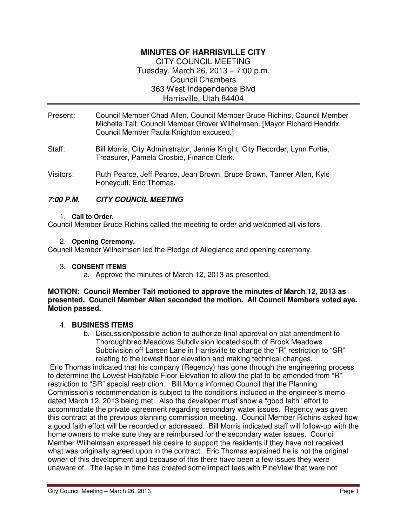## **MINUTES OF HARRISVILLE CITY**  CITY COUNCIL MEETING Tuesday, March 26, 2013 – 7:00 p.m. Council Chambers 363 West Independence Blvd

Harrisville, Utah 84404

- Present: Council Member Chad Allen, Council Member Bruce Richins, Council Member Michelle Tait, Council Member Grover Wilhelmsen. [Mayor Richard Hendrix, Council Member Paula Knighton excused.]
- Staff: Bill Morris, City Administrator, Jennie Knight, City Recorder, Lynn Fortie, Treasurer, Pamela Crosbie, Finance Clerk.
- Visitors: Ruth Pearce, Jeff Pearce, Jean Brown, Bruce Brown, Tanner Allen, Kyle Honeycutt, Eric Thomas.

# **7:00 P.M. CITY COUNCIL MEETING**

#### 1. **Call to Order.**

Council Member Bruce Richins called the meeting to order and welcomed all visitors.

#### 2. **Opening Ceremony.**

Council Member Wilhelmsen led the Pledge of Allegiance and opening ceremony.

#### 3. **CONSENT ITEMS**

a. Approve the minutes of March 12, 2013 as presented.

#### **MOTION: Council Member Tait motioned to approve the minutes of March 12, 2013 as presented. Council Member Allen seconded the motion. All Council Members voted aye. Motion passed.**

## 4. **BUSINESS ITEMS**

b. Discussion/possible action to authorize final approval on plat amendment to Thoroughbred Meadows Subdivision located south of Brook Meadows Subdivision off Larsen Lane in Harrisville to change the "R" restriction to "SR" relating to the lowest floor elevation and making technical changes.

 Eric Thomas indicated that his company (Regency) has gone through the engineering process to determine the Lowest Habitable Floor Elevation to allow the plat to be amended from "R" restriction to "SR" special restriction. Bill Morris informed Council that the Planning Commission's recommendation is subject to the conditions included in the engineer's memo dated March 12, 2013 being met. Also the developer must show a "good faith" effort to accommodate the private agreement regarding secondary water issues. Regency was given this contract at the previous planning commission meeting. Council Member Richins asked how a good faith effort will be recorded or addressed. Bill Morris indicated staff will follow-up with the home owners to make sure they are reimbursed for the secondary water issues. Council Member Wilhelmsen expressed his desire to support the residents if they have not received what was originally agreed upon in the contract. Eric Thomas explained he is not the original owner of this development and because of this there have been a few issues they were unaware of. The lapse in time has created some impact fees with PineView that were not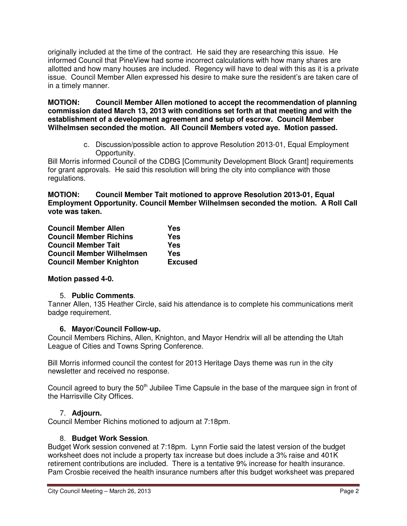originally included at the time of the contract. He said they are researching this issue. He informed Council that PineView had some incorrect calculations with how many shares are allotted and how many houses are included. Regency will have to deal with this as it is a private issue. Council Member Allen expressed his desire to make sure the resident's are taken care of in a timely manner.

**MOTION: Council Member Allen motioned to accept the recommendation of planning commission dated March 13, 2013 with conditions set forth at that meeting and with the establishment of a development agreement and setup of escrow. Council Member Wilhelmsen seconded the motion. All Council Members voted aye. Motion passed.** 

> c. Discussion/possible action to approve Resolution 2013-01, Equal Employment Opportunity.

Bill Morris informed Council of the CDBG [Community Development Block Grant] requirements for grant approvals. He said this resolution will bring the city into compliance with those regulations.

**MOTION: Council Member Tait motioned to approve Resolution 2013-01, Equal Employment Opportunity. Council Member Wilhelmsen seconded the motion. A Roll Call vote was taken.** 

| <b>Council Member Allen</b>      | Yes            |
|----------------------------------|----------------|
| <b>Council Member Richins</b>    | Yes            |
| <b>Council Member Tait</b>       | Yes            |
| <b>Council Member Wilhelmsen</b> | Yes            |
| <b>Council Member Knighton</b>   | <b>Excused</b> |

# **Motion passed 4-0.**

## 5. **Public Comments**.

Tanner Allen, 135 Heather Circle, said his attendance is to complete his communications merit badge requirement.

## **6. Mayor/Council Follow-up.**

Council Members Richins, Allen, Knighton, and Mayor Hendrix will all be attending the Utah League of Cities and Towns Spring Conference.

Bill Morris informed council the contest for 2013 Heritage Days theme was run in the city newsletter and received no response.

Council agreed to bury the 50<sup>th</sup> Jubilee Time Capsule in the base of the marquee sign in front of the Harrisville City Offices.

## 7. **Adjourn.**

Council Member Richins motioned to adjourn at 7:18pm.

## 8. **Budget Work Session**.

Budget Work session convened at 7:18pm. Lynn Fortie said the latest version of the budget worksheet does not include a property tax increase but does include a 3% raise and 401K retirement contributions are included. There is a tentative 9% increase for health insurance. Pam Crosbie received the health insurance numbers after this budget worksheet was prepared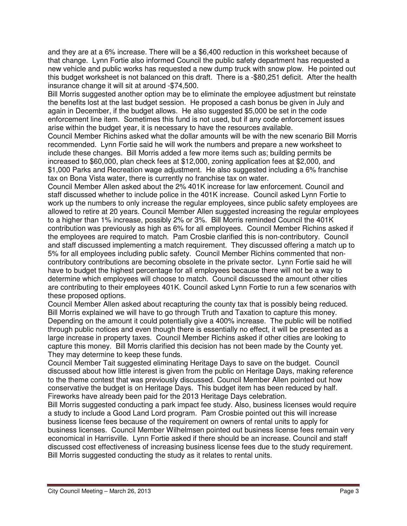and they are at a 6% increase. There will be a \$6,400 reduction in this worksheet because of that change. Lynn Fortie also informed Council the public safety department has requested a new vehicle and public works has requested a new dump truck with snow plow. He pointed out this budget worksheet is not balanced on this draft. There is a -\$80,251 deficit. After the health insurance change it will sit at around -\$74,500.

Bill Morris suggested another option may be to eliminate the employee adjustment but reinstate the benefits lost at the last budget session. He proposed a cash bonus be given in July and again in December, if the budget allows. He also suggested \$5,000 be set in the code enforcement line item. Sometimes this fund is not used, but if any code enforcement issues arise within the budget year, it is necessary to have the resources available.

Council Member Richins asked what the dollar amounts will be with the new scenario Bill Morris recommended. Lynn Fortie said he will work the numbers and prepare a new worksheet to include these changes. Bill Morris added a few more items such as; building permits be increased to \$60,000, plan check fees at \$12,000, zoning application fees at \$2,000, and \$1,000 Parks and Recreation wage adjustment. He also suggested including a 6% franchise tax on Bona Vista water, there is currently no franchise tax on water.

Council Member Allen asked about the 2% 401K increase for law enforcement. Council and staff discussed whether to include police in the 401K increase. Council asked Lynn Fortie to work up the numbers to only increase the regular employees, since public safety employees are allowed to retire at 20 years. Council Member Allen suggested increasing the regular employees to a higher than 1% increase, possibly 2% or 3%. Bill Morris reminded Council the 401K contribution was previously as high as 6% for all employees. Council Member Richins asked if the employees are required to match. Pam Crosbie clarified this is non-contributory. Council and staff discussed implementing a match requirement. They discussed offering a match up to 5% for all employees including public safety. Council Member Richins commented that noncontributory contributions are becoming obsolete in the private sector. Lynn Fortie said he will have to budget the highest percentage for all employees because there will not be a way to determine which employees will choose to match. Council discussed the amount other cities are contributing to their employees 401K. Council asked Lynn Fortie to run a few scenarios with these proposed options.

Council Member Allen asked about recapturing the county tax that is possibly being reduced. Bill Morris explained we will have to go through Truth and Taxation to capture this money. Depending on the amount it could potentially give a 400% increase. The public will be notified through public notices and even though there is essentially no effect, it will be presented as a large increase in property taxes. Council Member Richins asked if other cities are looking to capture this money. Bill Morris clarified this decision has not been made by the County yet. They may determine to keep these funds.

Council Member Tait suggested eliminating Heritage Days to save on the budget. Council discussed about how little interest is given from the public on Heritage Days, making reference to the theme contest that was previously discussed. Council Member Allen pointed out how conservative the budget is on Heritage Days. This budget item has been reduced by half. Fireworks have already been paid for the 2013 Heritage Days celebration.

Bill Morris suggested conducting a park impact fee study. Also, business licenses would require a study to include a Good Land Lord program. Pam Crosbie pointed out this will increase business license fees because of the requirement on owners of rental units to apply for business licenses. Council Member Wilhelmsen pointed out business license fees remain very economical in Harrisville. Lynn Fortie asked if there should be an increase. Council and staff discussed cost effectiveness of increasing business license fees due to the study requirement. Bill Morris suggested conducting the study as it relates to rental units.